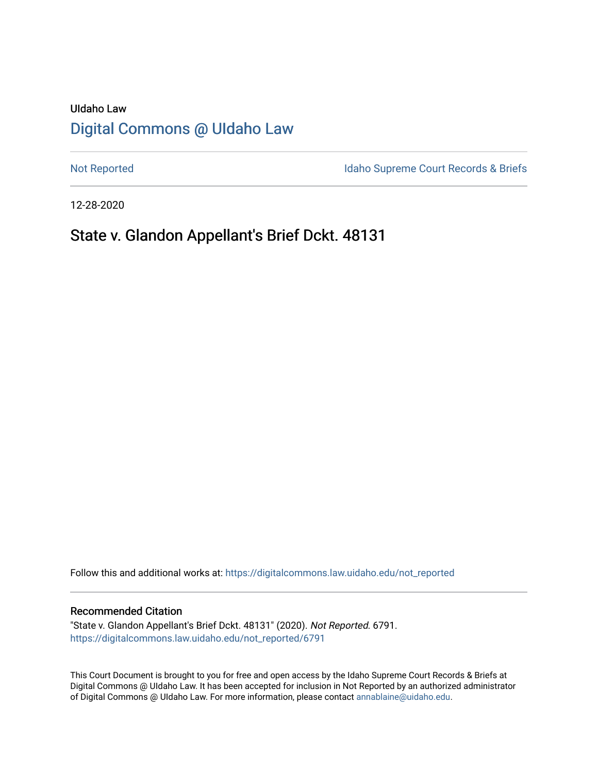# UIdaho Law [Digital Commons @ UIdaho Law](https://digitalcommons.law.uidaho.edu/)

[Not Reported](https://digitalcommons.law.uidaho.edu/not_reported) **Idaho Supreme Court Records & Briefs** 

12-28-2020

# State v. Glandon Appellant's Brief Dckt. 48131

Follow this and additional works at: [https://digitalcommons.law.uidaho.edu/not\\_reported](https://digitalcommons.law.uidaho.edu/not_reported?utm_source=digitalcommons.law.uidaho.edu%2Fnot_reported%2F6791&utm_medium=PDF&utm_campaign=PDFCoverPages) 

#### Recommended Citation

"State v. Glandon Appellant's Brief Dckt. 48131" (2020). Not Reported. 6791. [https://digitalcommons.law.uidaho.edu/not\\_reported/6791](https://digitalcommons.law.uidaho.edu/not_reported/6791?utm_source=digitalcommons.law.uidaho.edu%2Fnot_reported%2F6791&utm_medium=PDF&utm_campaign=PDFCoverPages)

This Court Document is brought to you for free and open access by the Idaho Supreme Court Records & Briefs at Digital Commons @ UIdaho Law. It has been accepted for inclusion in Not Reported by an authorized administrator of Digital Commons @ UIdaho Law. For more information, please contact [annablaine@uidaho.edu](mailto:annablaine@uidaho.edu).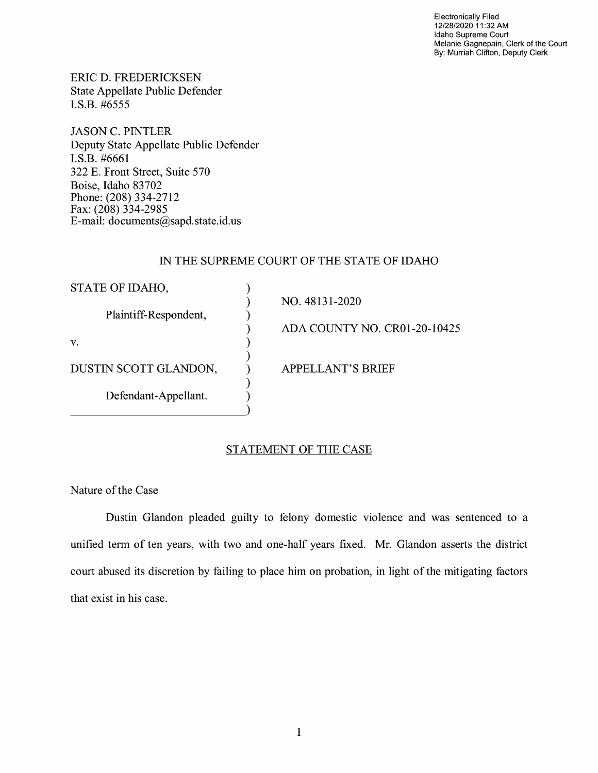Electronically Filed 12/28/2020 11 :32 AM Idaho Supreme Court Melanie Gagnepain, Clerk of the Court By: Murriah Clifton, Deputy Clerk

ERIC D. FREDERICKSEN State Appellate Public Defender I.S.B. #6555

JASON C. PINTLER Deputy State Appellate Public Defender I.S.B. #6661 322 E. Front Street, Suite 570 Boise, Idaho 83702 Phone: (208) 334-2712 Fax: (208) 334-2985 E-mail: documents@sapd.state.id. us

## IN THE SUPREME COURT OF THE STATE OF IDAHO

| STATE OF IDAHO,       |                              |
|-----------------------|------------------------------|
|                       | NO. 48131-2020               |
| Plaintiff-Respondent, |                              |
|                       | ADA COUNTY NO. CR01-20-10425 |
| V.                    |                              |
| DUSTIN SCOTT GLANDON, | <b>APPELLANT'S BRIEF</b>     |
| Defendant-Appellant.  |                              |
|                       |                              |

## STATEMENT OF THE CASE

Nature of the Case

Dustin Glandon pleaded guilty to felony domestic violence and was sentenced to a unified term of ten years, with two and one-half years fixed. Mr. Glandon asserts the district court abused its discretion by failing to place him on probation, in light of the mitigating factors that exist in his case.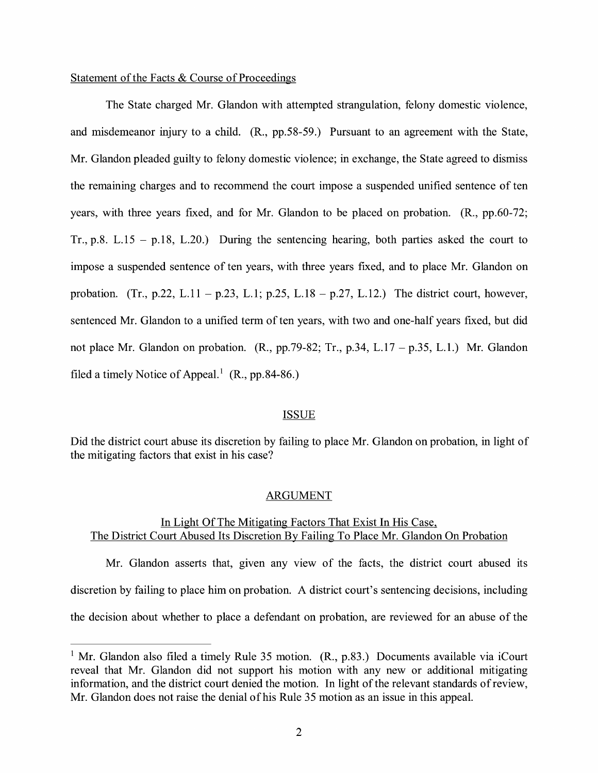### Statement of the Facts & Course of Proceedings

The State charged Mr. Glandon with attempted strangulation, felony domestic violence, and misdemeanor injury to a child. (R., pp.58-59.) Pursuant to an agreement with the State, Mr. Glandon pleaded guilty to felony domestic violence; in exchange, the State agreed to dismiss the remaining charges and to recommend the court impose a suspended unified sentence of ten years, with three years fixed, and for Mr. Glandon to be placed on probation. (R., pp.60-72; Tr., p.8. L.15 - p.18, L.20.) During the sentencing hearing, both parties asked the court to impose a suspended sentence of ten years, with three years fixed, and to place Mr. Glandon on probation. (Tr., p.22, L.11 – p.23, L.1; p.25, L.18 – p.27, L.12.) The district court, however, sentenced Mr. Glandon to a unified term of ten years, with two and one-half years fixed, but did not place Mr. Glandon on probation. (R., pp.79-82; Tr., p.34, L.17 - p.35, L.1.) Mr. Glandon filed a timely Notice of Appeal.<sup>1</sup> (R., pp.84-86.)

#### ISSUE

Did the district court abuse its discretion by failing to place Mr. Glandon on probation, in light of the mitigating factors that exist in his case?

#### ARGUMENT

### In Light Of The Mitigating Factors That Exist In His Case, The District Court Abused Its Discretion By Failing To Place Mr. Glandon On Probation

Mr. Glandon asserts that, given any view of the facts, the district court abused its discretion by failing to place him on probation. A district court's sentencing decisions, including the decision about whether to place a defendant on probation, are reviewed for an abuse of the

<sup>&</sup>lt;sup>1</sup> Mr. Glandon also filed a timely Rule 35 motion.  $(R., p.83.)$  Documents available via iCourt reveal that Mr. Glandon did not support his motion with any new or additional mitigating information, and the district court denied the motion. In light of the relevant standards ofreview, Mr. Glandon does not raise the denial of his Rule 35 motion as an issue in this appeal.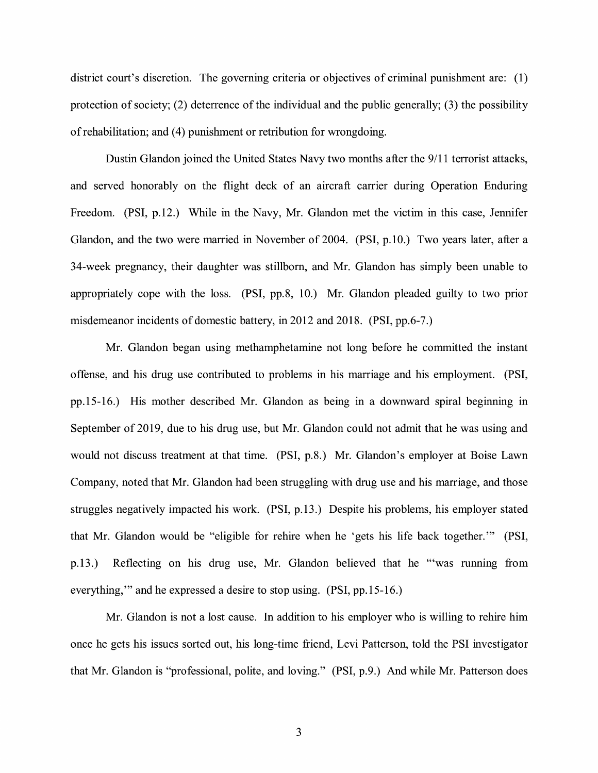district court's discretion. The governing criteria or objectives of criminal punishment are: (1) protection of society; (2) deterrence of the individual and the public generally; (3) the possibility of rehabilitation; and (4) punishment or retribution for wrongdoing.

Dustin Glandon joined the United States Navy two months after the 9/11 terrorist attacks, and served honorably on the flight deck of an aircraft carrier during Operation Enduring Freedom. (PSI, p.12.) While in the Navy, Mr. Glandon met the victim in this case, Jennifer Glandon, and the two were married in November of 2004. (PSI, p.10.) Two years later, after a 34-week pregnancy, their daughter was stillborn, and Mr. Glandon has simply been unable to appropriately cope with the loss. (PSI, pp.8, 10.) Mr. Glandon pleaded guilty to two prior misdemeanor incidents of domestic battery, in 2012 and 2018. (PSI, pp.6-7.)

Mr. Glandon began using methamphetamine not long before he committed the instant offense, and his drug use contributed to problems in his marriage and his employment. (PSI, pp.15-16.) His mother described Mr. Glandon as being in a downward spiral beginning in September of 2019, due to his drug use, but Mr. Glandon could not admit that he was using and would not discuss treatment at that time. (PSI, p.8.) Mr. Glandon's employer at Boise Lawn Company, noted that Mr. Glandon had been struggling with drug use and his marriage, and those struggles negatively impacted his work. (PSI, p.13.) Despite his problems, his employer stated that Mr. Glandon would be "eligible for rehire when he 'gets his life back together."' (PSI, p.13.) Reflecting on his drug use, Mr. Glandon believed that he "'was running from everything,"' and he expressed a desire to stop using. (PSI, pp.15-16.)

Mr. Glandon is not a lost cause. In addition to his employer who is willing to rehire him once he gets his issues sorted out, his long-time friend, Levi Patterson, told the PSI investigator that Mr. Glandon is "professional, polite, and loving." (PSI, p.9.) And while Mr. Patterson does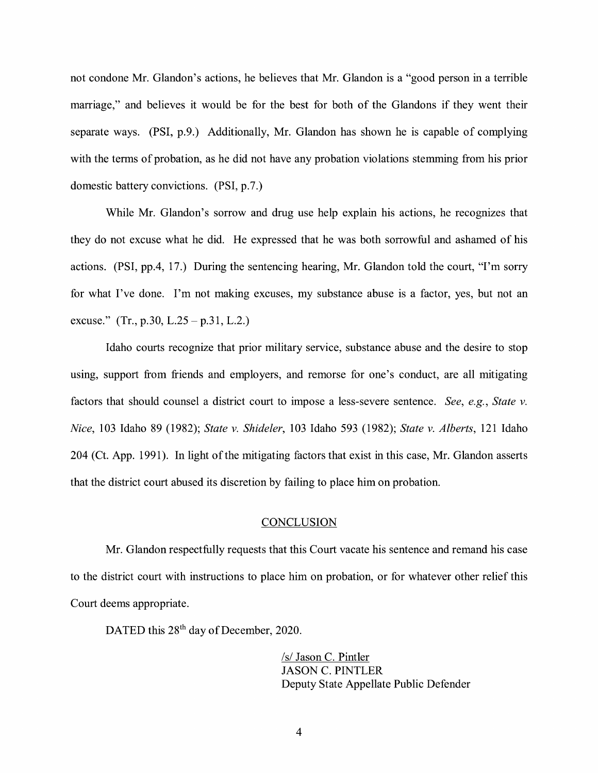not condone Mr. Glandon's actions, he believes that Mr. Glandon is a "good person in a terrible marriage," and believes it would be for the best for both of the Glandons if they went their separate ways. (PSI, p.9.) Additionally, Mr. Glandon has shown he is capable of complying with the terms of probation, as he did not have any probation violations stemming from his prior domestic battery convictions. (PSI, p.7.)

While Mr. Glandon's sorrow and drug use help explain his actions, he recognizes that they do not excuse what he did. He expressed that he was both sorrowful and ashamed of his actions. (PSI, pp.4, 17.) During the sentencing hearing, Mr. Glandon told the court, "I'm sorry for what I've done. I'm not making excuses, my substance abuse is a factor, yes, but not an excuse." (Tr., p.30, L.25 – p.31, L.2.)

Idaho courts recognize that prior military service, substance abuse and the desire to stop using, support from friends and employers, and remorse for one's conduct, are all mitigating factors that should counsel a district court to impose a less-severe sentence. *See, e.g., State v. Nice,* 103 Idaho 89 (1982); *State v. Shideler,* 103 Idaho 593 (1982); *State v. Alberts,* 121 Idaho 204 (Ct. App. 1991). In light of the mitigating factors that exist in this case, Mr. Glandon asserts that the district court abused its discretion by failing to place him on probation.

#### **CONCLUSION**

Mr. Glandon respectfully requests that this Court vacate his sentence and remand his case to the district court with instructions to place him on probation, or for whatever other relief this Court deems appropriate.

DATED this 28<sup>th</sup> day of December, 2020.

 $/s/$  Jason C. Pintler JASON C. PINTLER Deputy State Appellate Public Defender

4